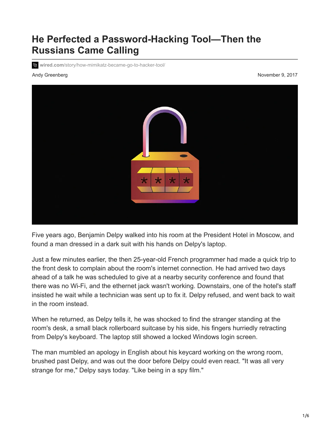# **He Perfected a Password-Hacking Tool—Then the Russians Came Calling**

**wired.com**[/story/how-mimikatz-became-go-to-hacker-tool/](https://www.wired.com/story/how-mimikatz-became-go-to-hacker-tool/)

Andy Greenberg November 9, 2017



Five years ago, Benjamin Delpy walked into his room at the President Hotel in Moscow, and found a man dressed in a dark suit with his hands on Delpy's laptop.

Just a few minutes earlier, the then 25-year-old French programmer had made a quick trip to the front desk to complain about the room's internet connection. He had arrived two days ahead of a talk he was scheduled to give at a nearby security conference and found that there was no Wi-Fi, and the ethernet jack wasn't working. Downstairs, one of the hotel's staff insisted he wait while a technician was sent up to fix it. Delpy refused, and went back to wait in the room instead.

When he returned, as Delpy tells it, he was shocked to find the stranger standing at the room's desk, a small black rollerboard suitcase by his side, his fingers hurriedly retracting from Delpy's keyboard. The laptop still showed a locked Windows login screen.

The man mumbled an apology in English about his keycard working on the wrong room, brushed past Delpy, and was out the door before Delpy could even react. "It was all very strange for me," Delpy says today. "Like being in a spy film."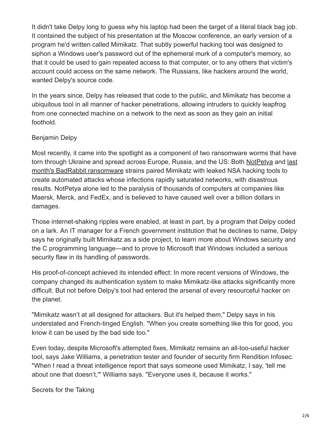It didn't take Delpy long to guess why his laptop had been the target of a literal black bag job. It contained the subject of his presentation at the Moscow conference, an early version of a program he'd written called Mimikatz. That subtly powerful hacking tool was designed to siphon a Windows user's password out of the ephemeral murk of a computer's memory, so that it could be used to gain repeated access to that computer, or to any others that victim's account could access on the same network. The Russians, like hackers around the world, wanted Delpy's source code.

In the years since, Delpy has released that code to the public, and Mimikatz has become a ubiquitous tool in all manner of hacker penetrations, allowing intruders to quickly leapfrog from one connected machine on a network to the next as soon as they gain an initial foothold.

### Benjamin Delpy

Most recently, it came into the spotlight as a component of two ransomware worms that have [torn through Ukraine and spread across Europe, Russia, and the US: Both N](https://www.wired.com/story/badrabbit-ransomware-notpetya-russia-ukraine/)[otPety](https://www.wired.com/story/petya-ransomware-outbreak-eternal-blue/)[a and last](https://www.wired.com/story/badrabbit-ransomware-notpetya-russia-ukraine/) month's BadRabbit ransomware strains paired Mimikatz with leaked NSA hacking tools to create automated attacks whose infections rapidly saturated networks, with disastrous results. NotPetya alone led to the paralysis of thousands of computers at companies like Maersk, Merck, and FedEx, and is believed to have caused well over a billion dollars in damages.

Those internet-shaking ripples were enabled, at least in part, by a program that Delpy coded on a lark. An IT manager for a French government institution that he declines to name, Delpy says he originally built Mimikatz as a side project, to learn more about Windows security and the C programming language—and to prove to Microsoft that Windows included a serious security flaw in its handling of passwords.

His proof-of-concept achieved its intended effect: In more recent versions of Windows, the company changed its authentication system to make Mimikatz-like attacks significantly more difficult. But not before Delpy's tool had entered the arsenal of every resourceful hacker on the planet.

"Mimikatz wasn't at all designed for attackers. But it's helped them," Delpy says in his understated and French-tinged English. "When you create something like this for good, you know it can be used by the bad side too."

Even today, despite Microsoft's attempted fixes, Mimikatz remains an all-too-useful hacker tool, says Jake Williams, a penetration tester and founder of security firm Rendition Infosec. "When I read a threat intelligence report that says someone used Mimikatz, I say, 'tell me about one that doesn't,'" Williams says. "Everyone uses it, because it works."

Secrets for the Taking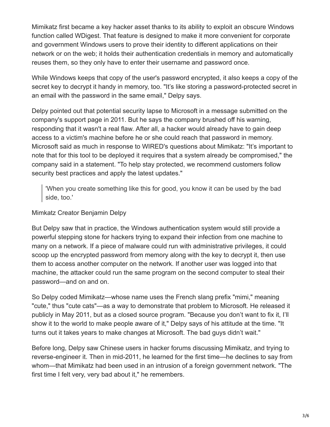Mimikatz first became a key hacker asset thanks to its ability to exploit an obscure Windows function called WDigest. That feature is designed to make it more convenient for corporate and government Windows users to prove their identity to different applications on their network or on the web; it holds their authentication credentials in memory and automatically reuses them, so they only have to enter their username and password once.

While Windows keeps that copy of the user's password encrypted, it also keeps a copy of the secret key to decrypt it handy in memory, too. "It's like storing a password-protected secret in an email with the password in the same email," Delpy says.

Delpy pointed out that potential security lapse to Microsoft in a message submitted on the company's support page in 2011. But he says the company brushed off his warning, responding that it wasn't a real flaw. After all, a hacker would already have to gain deep access to a victim's machine before he or she could reach that password in memory. Microsoft said as much in response to WIRED's questions about Mimikatz: "It's important to note that for this tool to be deployed it requires that a system already be compromised," the company said in a statement. "To help stay protected, we recommend customers follow security best practices and apply the latest updates."

'When you create something like this for good, you know it can be used by the bad side, too.'

#### Mimkatz Creator Benjamin Delpy

But Delpy saw that in practice, the Windows authentication system would still provide a powerful stepping stone for hackers trying to expand their infection from one machine to many on a network. If a piece of malware could run with administrative privileges, it could scoop up the encrypted password from memory along with the key to decrypt it, then use them to access another computer on the network. If another user was logged into that machine, the attacker could run the same program on the second computer to steal their password—and on and on.

So Delpy coded Mimikatz—whose name uses the French slang prefix "mimi," meaning "cute," thus "cute cats"—as a way to demonstrate that problem to Microsoft. He released it publicly in May 2011, but as a closed source program. "Because you don't want to fix it, I'll show it to the world to make people aware of it," Delpy says of his attitude at the time. "It turns out it takes years to make changes at Microsoft. The bad guys didn't wait."

Before long, Delpy saw Chinese users in hacker forums discussing Mimikatz, and trying to reverse-engineer it. Then in mid-2011, he learned for the first time—he declines to say from whom—that Mimikatz had been used in an intrusion of a foreign government network. "The first time I felt very, very bad about it," he remembers.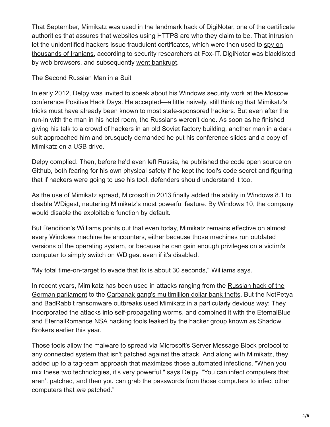That September, Mimikatz was used in the landmark hack of DigiNotar, one of the certificate authorities that assures that websites using HTTPS are who they claim to be. That intrusion [let the unidentified hackers issue fraudulent certificates, which were then used to spy on](https://www.computerworld.com/article/2510951/cybercrime-hacking/hackers-spied-on-300-000-iranians-using-fake-google-certificate.html) thousands of Iranians, according to security researchers at Fox-IT. DigiNotar was blacklisted by web browsers, and subsequently [went bankrupt](https://www.wired.com/2011/09/diginotar-bankruptcy/).

The Second Russian Man in a Suit

In early 2012, Delpy was invited to speak about his Windows security work at the Moscow conference Positive Hack Days. He accepted—a little naively, still thinking that Mimikatz's tricks must have already been known to most state-sponsored hackers. But even after the run-in with the man in his hotel room, the Russians weren't done. As soon as he finished giving his talk to a crowd of hackers in an old Soviet factory building, another man in a dark suit approached him and brusquely demanded he put his conference slides and a copy of Mimikatz on a USB drive.

Delpy complied. Then, before he'd even left Russia, he published the code open source on Github, both fearing for his own physical safety if he kept the tool's code secret and figuring that if hackers were going to use his tool, defenders should understand it too.

As the use of Mimikatz spread, Microsoft in 2013 finally added the ability in Windows 8.1 to disable WDigest, neutering Mimikatz's most powerful feature. By Windows 10, the company would disable the exploitable function by default.

But Rendition's Williams points out that even today, Mimikatz remains effective on almost every Windows machine he encounters, either because those machines run outdated [versions of the operating system, or because he can gain enough privileges on a victim](https://www.wired.com/2017/05/still-use-windows-xp-prepare-worst/)'s computer to simply switch on WDigest even if it's disabled.

"My total time-on-target to evade that fix is about 30 seconds," Williams says.

In recent years, Mimikatz has been used in attacks ranging from the Russian hack of the [German parliament to the Carbanak gang's multimillion dollar bank thefts. But the NotPet](http://www.zeit.de/digital/2017-05/cyberattack-bundestag-angela-merkel-fancy-bear-hacker-russia/seite-2)ya and BadRabbit ransomware outbreaks used Mimikatz in a particularly devious way: They incorporated the attacks into self-propagating worms, and combined it with the EternalBlue and EternalRomance NSA hacking tools leaked by the hacker group known as Shadow Brokers earlier this year.

Those tools allow the malware to spread via Microsoft's Server Message Block protocol to any connected system that isn't patched against the attack. And along with Mimikatz, they added up to a tag-team approach that maximizes those automated infections. "When you mix these two technologies, it's very powerful," says Delpy. "You can infect computers that aren't patched, and then you can grab the passwords from those computers to infect other computers that *are* patched."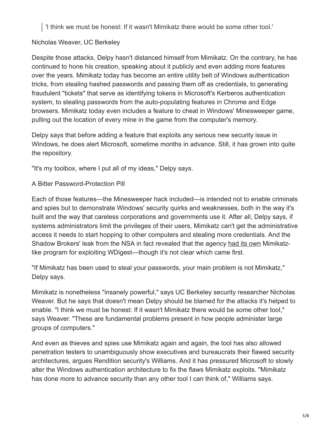'I think we must be honest: If it wasn't Mimikatz there would be some other tool.'

## Nicholas Weaver, UC Berkeley

Despite those attacks, Delpy hasn't distanced himself from Mimikatz. On the contrary, he has continued to hone his creation, speaking about it publicly and even adding more features over the years. Mimikatz today has become an entire utility belt of Windows authentication tricks, from stealing hashed passwords and passing them off as credentials, to generating fraudulent "tickets" that serve as identifying tokens in Microsoft's Kerberos authentication system, to stealing passwords from the auto-populating features in Chrome and Edge browsers. Mimikatz today even includes a feature to cheat in Windows' Minesweeper game, pulling out the location of every mine in the game from the computer's memory.

Delpy says that before adding a feature that exploits any serious new security issue in Windows, he does alert Microsoft, sometime months in advance. Still, it has grown into quite the repository.

"It's my toolbox, where I put all of my ideas," Delpy says.

#### A Bitter Password-Protection Pill

Each of those features—the Minesweeper hack included—is intended not to enable criminals and spies but to demonstrate Windows' security quirks and weaknesses, both in the way it's built and the way that careless corporations and governments use it. After all, Delpy says, if systems administrators limit the privileges of their users, Mimikatz can't get the administrative access it needs to start hopping to other computers and stealing more credentials. And the Shadow Brokers' leak from the NSA in fact revealed that the agency [had its own](https://twitter.com/TalBeerySec/status/854333710010896388) Mimikatzlike program for exploiting WDigest—though it's not clear which came first.

"If Mimikatz has been used to steal your passwords, your main problem is not Mimikatz," Delpy says.

Mimikatz is nonetheless "insanely powerful," says UC Berkeley security researcher Nicholas Weaver. But he says that doesn't mean Delpy should be blamed for the attacks it's helped to enable. "I think we must be honest: If it wasn't Mimikatz there would be some other tool," says Weaver. "These are fundamental problems present in how people administer large groups of computers."

And even as thieves and spies use Mimikatz again and again, the tool has also allowed penetration testers to unambiguously show executives and bureaucrats their flawed security architectures, argues Rendition security's Williams. And it has pressured Microsoft to slowly alter the Windows authentication architecture to fix the flaws Mimikatz exploits. "Mimikatz has done more to advance security than any other tool I can think of," Williams says.